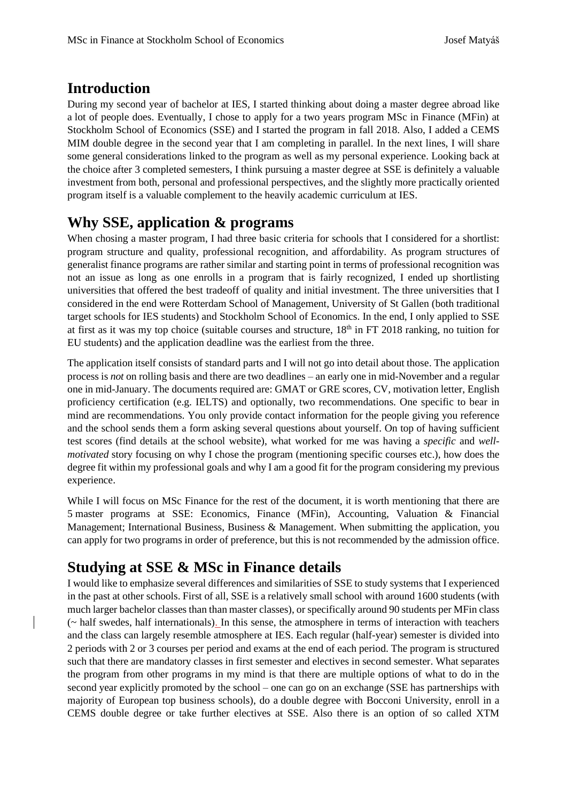## **Introduction**

During my second year of bachelor at IES, I started thinking about doing a master degree abroad like a lot of people does. Eventually, I chose to apply for a two years program MSc in Finance (MFin) at Stockholm School of Economics (SSE) and I started the program in fall 2018. Also, I added a CEMS MIM double degree in the second year that I am completing in parallel. In the next lines, I will share some general considerations linked to the program as well as my personal experience. Looking back at the choice after 3 completed semesters, I think pursuing a master degree at SSE is definitely a valuable investment from both, personal and professional perspectives, and the slightly more practically oriented program itself is a valuable complement to the heavily academic curriculum at IES.

### **Why SSE, application & programs**

When chosing a master program, I had three basic criteria for schools that I considered for a shortlist: program structure and quality, professional recognition, and affordability. As program structures of generalist finance programs are rather similar and starting point in terms of professional recognition was not an issue as long as one enrolls in a program that is fairly recognized, I ended up shortlisting universities that offered the best tradeoff of quality and initial investment. The three universities that I considered in the end were Rotterdam School of Management, University of St Gallen (both traditional target schools for IES students) and Stockholm School of Economics. In the end, I only applied to SSE at first as it was my top choice (suitable courses and structure,  $18<sup>th</sup>$  in FT 2018 ranking, no tuition for EU students) and the application deadline was the earliest from the three.

The application itself consists of standard parts and I will not go into detail about those. The application process is *not* on rolling basis and there are two deadlines – an early one in mid-November and a regular one in mid-January. The documents required are: GMAT or GRE scores, CV, motivation letter, English proficiency certification (e.g. IELTS) and optionally, two recommendations. One specific to bear in mind are recommendations. You only provide contact information for the people giving you reference and the school sends them a form asking several questions about yourself. On top of having sufficient test scores (find details at the school website), what worked for me was having a *specific* and *wellmotivated* story focusing on why I chose the program (mentioning specific courses etc.), how does the degree fit within my professional goals and why I am a good fit for the program considering my previous experience.

While I will focus on MSc Finance for the rest of the document, it is worth mentioning that there are 5 master programs at SSE: Economics, Finance (MFin), Accounting, Valuation & Financial Management; International Business, Business & Management. When submitting the application, you can apply for two programs in order of preference, but this is not recommended by the admission office.

# **Studying at SSE & MSc in Finance details**

I would like to emphasize several differences and similarities of SSE to study systems that I experienced in the past at other schools. First of all, SSE is a relatively small school with around 1600 students (with much larger bachelor classes than than master classes), or specifically around 90 students per MFin class (~ half swedes, half internationals). In this sense, the atmosphere in terms of interaction with teachers and the class can largely resemble atmosphere at IES. Each regular (half-year) semester is divided into 2 periods with 2 or 3 courses per period and exams at the end of each period. The program is structured such that there are mandatory classes in first semester and electives in second semester. What separates the program from other programs in my mind is that there are multiple options of what to do in the second year explicitly promoted by the school – one can go on an exchange (SSE has partnerships with majority of European top business schools), do a double degree with Bocconi University, enroll in a CEMS double degree or take further electives at SSE. Also there is an option of so called XTM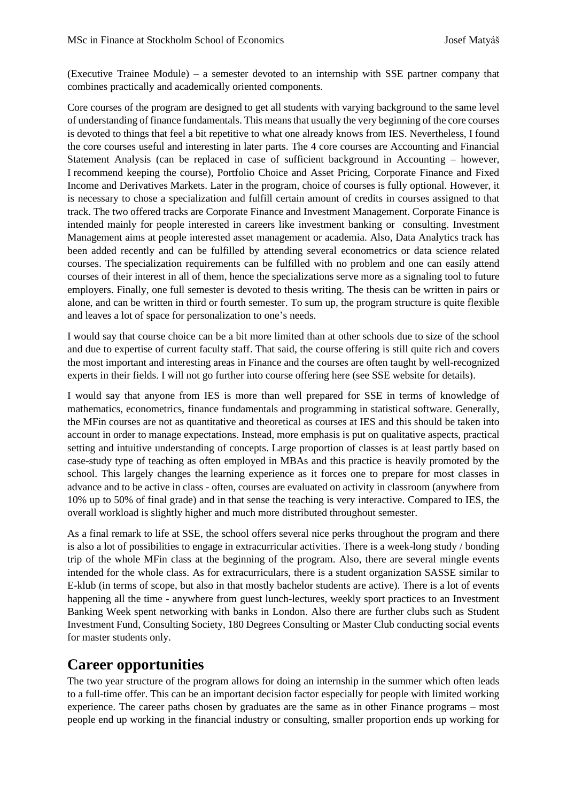(Executive Trainee Module) – a semester devoted to an internship with SSE partner company that combines practically and academically oriented components.

Core courses of the program are designed to get all students with varying background to the same level of understanding of finance fundamentals. This means that usually the very beginning of the core courses is devoted to things that feel a bit repetitive to what one already knows from IES. Nevertheless, I found the core courses useful and interesting in later parts. The 4 core courses are Accounting and Financial Statement Analysis (can be replaced in case of sufficient background in Accounting – however, I recommend keeping the course), Portfolio Choice and Asset Pricing, Corporate Finance and Fixed Income and Derivatives Markets. Later in the program, choice of courses is fully optional. However, it is necessary to chose a specialization and fulfill certain amount of credits in courses assigned to that track. The two offered tracks are Corporate Finance and Investment Management. Corporate Finance is intended mainly for people interested in careers like investment banking or consulting. Investment Management aims at people interested asset management or academia. Also, Data Analytics track has been added recently and can be fulfilled by attending several econometrics or data science related courses. The specialization requirements can be fulfilled with no problem and one can easily attend courses of their interest in all of them, hence the specializations serve more as a signaling tool to future employers. Finally, one full semester is devoted to thesis writing. The thesis can be written in pairs or alone, and can be written in third or fourth semester. To sum up, the program structure is quite flexible and leaves a lot of space for personalization to one's needs.

I would say that course choice can be a bit more limited than at other schools due to size of the school and due to expertise of current faculty staff. That said, the course offering is still quite rich and covers the most important and interesting areas in Finance and the courses are often taught by well-recognized experts in their fields. I will not go further into course offering here (see SSE website for details).

I would say that anyone from IES is more than well prepared for SSE in terms of knowledge of mathematics, econometrics, finance fundamentals and programming in statistical software. Generally, the MFin courses are not as quantitative and theoretical as courses at IES and this should be taken into account in order to manage expectations. Instead, more emphasis is put on qualitative aspects, practical setting and intuitive understanding of concepts. Large proportion of classes is at least partly based on case-study type of teaching as often employed in MBAs and this practice is heavily promoted by the school. This largely changes the learning experience as it forces one to prepare for most classes in advance and to be active in class - often, courses are evaluated on activity in classroom (anywhere from 10% up to 50% of final grade) and in that sense the teaching is very interactive. Compared to IES, the overall workload is slightly higher and much more distributed throughout semester.

As a final remark to life at SSE, the school offers several nice perks throughout the program and there is also a lot of possibilities to engage in extracurricular activities. There is a week-long study / bonding trip of the whole MFin class at the beginning of the program. Also, there are several mingle events intended for the whole class. As for extracurriculars, there is a student organization SASSE similar to E-klub (in terms of scope, but also in that mostly bachelor students are active). There is a lot of events happening all the time - anywhere from guest lunch-lectures, weekly sport practices to an Investment Banking Week spent networking with banks in London. Also there are further clubs such as Student Investment Fund, Consulting Society, 180 Degrees Consulting or Master Club conducting social events for master students only.

### **Career opportunities**

The two year structure of the program allows for doing an internship in the summer which often leads to a full-time offer. This can be an important decision factor especially for people with limited working experience. The career paths chosen by graduates are the same as in other Finance programs – most people end up working in the financial industry or consulting, smaller proportion ends up working for